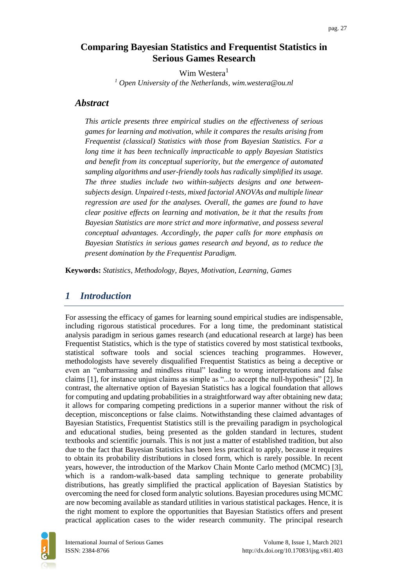# **Comparing Bayesian Statistics and Frequentist Statistics in Serious Games Research**

Wim Westera<sup>1</sup> *<sup>1</sup> Open University of the Netherlands, wim.westera@ou.nl*

## *Abstract*

*This article presents three empirical studies on the effectiveness of serious games for learning and motivation, while it compares the results arising from Frequentist (classical) Statistics with those from Bayesian Statistics. For a long time it has been technically impracticable to apply Bayesian Statistics and benefit from its conceptual superiority, but the emergence of automated sampling algorithms and user-friendly tools has radically simplified its usage. The three studies include two within-subjects designs and one betweensubjects design. Unpaired t-tests, mixed factorial ANOVAs and multiple linear regression are used for the analyses. Overall, the games are found to have clear positive effects on learning and motivation, be it that the results from Bayesian Statistics are more strict and more informative, and possess several conceptual advantages. Accordingly, the paper calls for more emphasis on Bayesian Statistics in serious games research and beyond, as to reduce the present domination by the Frequentist Paradigm.*

**Keywords:** *Statistics, Methodology, Bayes, Motivation, Learning, Games*

# *1 Introduction*

For assessing the efficacy of games for learning sound empirical studies are indispensable, including rigorous statistical procedures. For a long time, the predominant statistical analysis paradigm in serious games research (and educational research at large) has been Frequentist Statistics, which is the type of statistics covered by most statistical textbooks, statistical software tools and social sciences teaching programmes. However, methodologists have severely disqualified Frequentist Statistics as being a deceptive or even an "embarrassing and mindless ritual" leading to wrong interpretations and false claims [1], for instance unjust claims as simple as "...to accept the null-hypothesis" [2]. In contrast, the alternative option of Bayesian Statistics has a logical foundation that allows for computing and updating probabilities in a straightforward way after obtaining new data; it allows for comparing competing predictions in a superior manner without the risk of deception, misconceptions or false claims. Notwithstanding these claimed advantages of Bayesian Statistics, Frequentist Statistics still is the prevailing paradigm in psychological and educational studies, being presented as the golden standard in lectures, student textbooks and scientific journals. This is not just a matter of established tradition, but also due to the fact that Bayesian Statistics has been less practical to apply, because it requires to obtain its probability distributions in closed form, which is rarely possible. In recent years, however, the introduction of the Markov Chain Monte Carlo method (MCMC) [3], which is a random-walk-based data sampling technique to generate probability distributions, has greatly simplified the practical application of Bayesian Statistics by overcoming the need for closed form analytic solutions. Bayesian procedures using MCMC are now becoming available as standard utilities in various statistical packages. Hence, it is the right moment to explore the opportunities that Bayesian Statistics offers and present practical application cases to the wider research community. The principal research

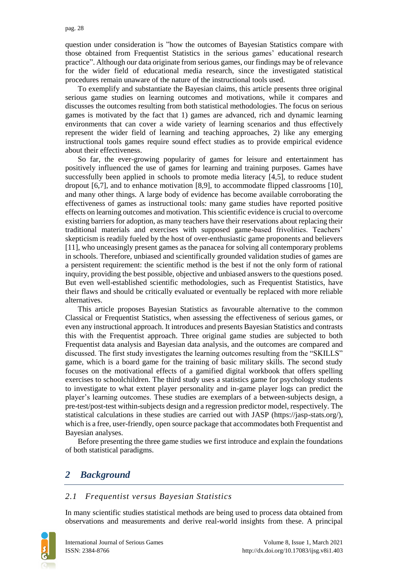question under consideration is "how the outcomes of Bayesian Statistics compare with those obtained from Frequentist Statistics in the serious games' educational research practice". Although our data originate from serious games, our findings may be of relevance for the wider field of educational media research, since the investigated statistical procedures remain unaware of the nature of the instructional tools used.

To exemplify and substantiate the Bayesian claims, this article presents three original serious game studies on learning outcomes and motivations, while it compares and discusses the outcomes resulting from both statistical methodologies. The focus on serious games is motivated by the fact that 1) games are advanced, rich and dynamic learning environments that can cover a wide variety of learning scenarios and thus effectively represent the wider field of learning and teaching approaches, 2) like any emerging instructional tools games require sound effect studies as to provide empirical evidence about their effectiveness.

So far, the ever-growing popularity of games for leisure and entertainment has positively influenced the use of games for learning and training purposes. Games have successfully been applied in schools to promote media literacy [4,5], to reduce student dropout [6,7], and to enhance motivation [8,9], to accommodate flipped classrooms [10], and many other things. A large body of evidence has become available corroborating the effectiveness of games as instructional tools: many game studies have reported positive effects on learning outcomes and motivation. This scientific evidence is crucial to overcome existing barriers for adoption, as many teachers have their reservations about replacing their traditional materials and exercises with supposed game-based frivolities. Teachers' skepticism is readily fueled by the host of over-enthusiastic game proponents and believers [11], who unceasingly present games as the panacea for solving all contemporary problems in schools. Therefore, unbiased and scientifically grounded validation studies of games are a persistent requirement: the scientific method is the best if not the only form of rational inquiry, providing the best possible, objective and unbiased answers to the questions posed. But even well-established scientific methodologies, such as Frequentist Statistics, have their flaws and should be critically evaluated or eventually be replaced with more reliable alternatives.

This article proposes Bayesian Statistics as favourable alternative to the common Classical or Frequentist Statistics, when assessing the effectiveness of serious games, or even any instructional approach. It introduces and presents Bayesian Statistics and contrasts this with the Frequentist approach. Three original game studies are subjected to both Frequentist data analysis and Bayesian data analysis, and the outcomes are compared and discussed. The first study investigates the learning outcomes resulting from the "SKILLS" game, which is a board game for the training of basic military skills. The second study focuses on the motivational effects of a gamified digital workbook that offers spelling exercises to schoolchildren. The third study uses a statistics game for psychology students to investigate to what extent player personality and in-game player logs can predict the player's learning outcomes. These studies are exemplars of a between-subjects design, a pre-test/post-test within-subjects design and a regression predictor model, respectively. The statistical calculations in these studies are carried out with JASP (https://jasp-stats.org/), which is a free, user-friendly, open source package that accommodates both Frequentist and Bayesian analyses.

Before presenting the three game studies we first introduce and explain the foundations of both statistical paradigms.

# *2 Background*

#### *2.1 Frequentist versus Bayesian Statistics*

In many scientific studies statistical methods are being used to process data obtained from observations and measurements and derive real-world insights from these. A principal

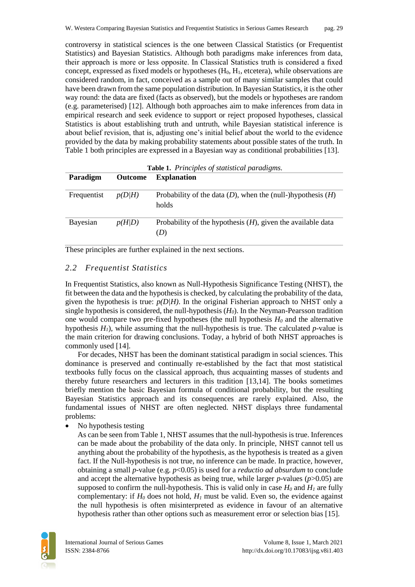controversy in statistical sciences is the one between Classical Statistics (or Frequentist Statistics) and Bayesian Statistics. Although both paradigms make inferences from data, their approach is more or less opposite. In Classical Statistics truth is considered a fixed concept, expressed as fixed models or hypotheses  $(H_0, H_1,$  etcetera), while observations are considered random, in fact, conceived as a sample out of many similar samples that could have been drawn from the same population distribution. In Bayesian Statistics, it is the other way round: the data are fixed (facts as observed), but the models or hypotheses are random (e.g. parameterised) [12]. Although both approaches aim to make inferences from data in empirical research and seek evidence to support or reject proposed hypotheses, classical Statistics is about establishing truth and untruth, while Bayesian statistical inference is about belief revision, that is, adjusting one's initial belief about the world to the evidence provided by the data by making probability statements about possible states of the truth. In Table 1 both principles are expressed in a Bayesian way as conditional probabilities [13].

| <b>Table 1.</b> Principles of statistical paradigms. |                |                                                                           |  |  |  |
|------------------------------------------------------|----------------|---------------------------------------------------------------------------|--|--|--|
| Paradigm                                             | <b>Outcome</b> | <b>Explanation</b>                                                        |  |  |  |
| Frequentist                                          | p(D/H)         | Probability of the data $(D)$ , when the (null-)hypothesis $(H)$<br>holds |  |  |  |
| Bayesian                                             | p(H D)         | Probability of the hypothesis $(H)$ , given the available data<br>(D)     |  |  |  |

These principles are further explained in the next sections.

### *2.2 Frequentist Statistics*

In Frequentist Statistics, also known as Null-Hypothesis Significance Testing (NHST), the fit between the data and the hypothesis is checked, by calculating the probability of the data, given the hypothesis is true:  $p(D/H)$ . In the original Fisherian approach to NHST only a single hypothesis is considered, the null-hypothesis  $(H<sub>0</sub>)$ . In the Neyman-Pearsson tradition one would compare two pre-fixed hypotheses (the null hypothesis *H<sup>0</sup>* and the alternative hypothesis  $H<sub>1</sub>$ ), while assuming that the null-hypothesis is true. The calculated *p*-value is the main criterion for drawing conclusions. Today, a hybrid of both NHST approaches is commonly used [14].

For decades, NHST has been the dominant statistical paradigm in social sciences. This dominance is preserved and continually re-established by the fact that most statistical textbooks fully focus on the classical approach, thus acquainting masses of students and thereby future researchers and lecturers in this tradition [13,14]. The books sometimes briefly mention the basic Bayesian formula of conditional probability, but the resulting Bayesian Statistics approach and its consequences are rarely explained. Also, the fundamental issues of NHST are often neglected. NHST displays three fundamental problems:

No hypothesis testing

As can be seen from Table 1, NHST assumes that the null-hypothesis is true. Inferences can be made about the probability of the data only. In principle, NHST cannot tell us anything about the probability of the hypothesis, as the hypothesis is treated as a given fact. If the Null-hypothesis is not true, no inference can be made. In practice, however, obtaining a small *p*-value (e.g. *p*<0.05) is used for a *reductio ad absurdum* to conclude and accept the alternative hypothesis as being true, while larger *p*-values (*p*>0.05) are supposed to confirm the null-hypothesis. This is valid only in case  $H_0$  and  $H_1$  are fully complementary: if  $H_0$  does not hold,  $H_1$  must be valid. Even so, the evidence against the null hypothesis is often misinterpreted as evidence in favour of an alternative hypothesis rather than other options such as measurement error or selection bias [15].

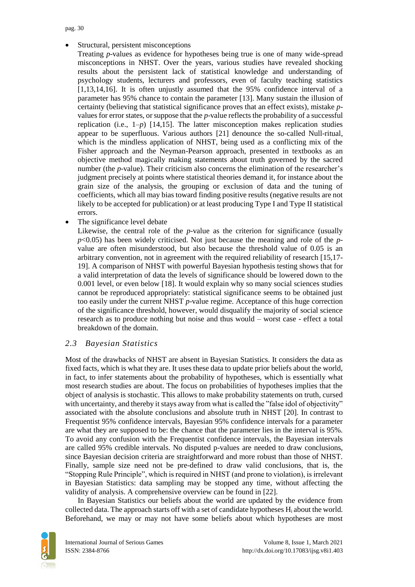Structural, persistent misconceptions

Treating *p*-values as evidence for hypotheses being true is one of many wide-spread misconceptions in NHST. Over the years, various studies have revealed shocking results about the persistent lack of statistical knowledge and understanding of psychology students, lecturers and professors, even of faculty teaching statistics [1,13,14,16]. It is often unjustly assumed that the 95% confidence interval of a parameter has 95% chance to contain the parameter [13]. Many sustain the illusion of certainty (believing that statistical significance proves that an effect exists), mistake *p*values for error states, or suppose that the *p*-value reflects the probability of a successful replication (i.e.,  $1-p$ ) [14,15]. The latter misconception makes replication studies appear to be superfluous. Various authors [21] denounce the so-called Null-ritual, which is the mindless application of NHST, being used as a conflicting mix of the Fisher approach and the Neyman-Pearson approach, presented in textbooks as an objective method magically making statements about truth governed by the sacred number (the *p*-value). Their criticism also concerns the elimination of the researcher's judgment precisely at points where statistical theories demand it, for instance about the grain size of the analysis, the grouping or exclusion of data and the tuning of coefficients, which all may bias toward finding positive results (negative results are not likely to be accepted for publication) or at least producing Type I and Type II statistical errors.

The significance level debate

Likewise, the central role of the *p*-value as the criterion for significance (usually *p*<0.05) has been widely criticised. Not just because the meaning and role of the *p*value are often misunderstood, but also because the threshold value of 0.05 is an arbitrary convention, not in agreement with the required reliability of research [15,17- 19]. A comparison of NHST with powerful Bayesian hypothesis testing shows that for a valid interpretation of data the levels of significance should be lowered down to the 0.001 level, or even below [18]. It would explain why so many social sciences studies cannot be reproduced appropriately: statistical significance seems to be obtained just too easily under the current NHST *p*-value regime. Acceptance of this huge correction of the significance threshold, however, would disqualify the majority of social science research as to produce nothing but noise and thus would – worst case - effect a total breakdown of the domain.

## *2.3 Bayesian Statistics*

Most of the drawbacks of NHST are absent in Bayesian Statistics. It considers the data as fixed facts, which is what they are. It uses these data to update prior beliefs about the world, in fact, to infer statements about the probability of hypotheses, which is essentially what most research studies are about. The focus on probabilities of hypotheses implies that the object of analysis is stochastic. This allows to make probability statements on truth, cursed with uncertainty, and thereby it stays away from what is called the "false idol of objectivity" associated with the absolute conclusions and absolute truth in NHST [20]. In contrast to Frequentist 95% confidence intervals, Bayesian 95% confidence intervals for a parameter are what they are supposed to be: the chance that the parameter lies in the interval is 95%. To avoid any confusion with the Frequentist confidence intervals, the Bayesian intervals are called 95% credible intervals. No disputed p-values are needed to draw conclusions, since Bayesian decision criteria are straightforward and more robust than those of NHST. Finally, sample size need not be pre-defined to draw valid conclusions, that is, the "Stopping Rule Principle", which is required in NHST (and prone to violation), is irrelevant in Bayesian Statistics: data sampling may be stopped any time, without affecting the validity of analysis. A comprehensive overview can be found in [22].

In Bayesian Statistics our beliefs about the world are updated by the evidence from collected data. The approach starts off with a set of candidate hypotheses  $H_i$  about the world. Beforehand, we may or may not have some beliefs about which hypotheses are most

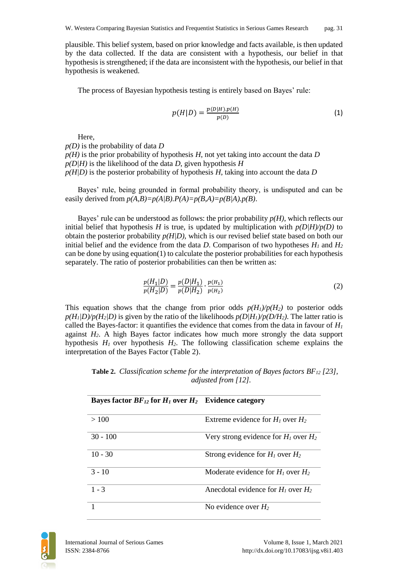plausible. This belief system, based on prior knowledge and facts available, is then updated by the data collected. If the data are consistent with a hypothesis, our belief in that hypothesis is strengthened; if the data are inconsistent with the hypothesis, our belief in that hypothesis is weakened.

The process of Bayesian hypothesis testing is entirely based on Bayes' rule:

$$
p(H|D) = \frac{p(D|H).p(H)}{p(D)}
$$
 (1)

Here,

*p(D)* is the probability of data *D p(H)* is the prior probability of hypothesis *H*, not yet taking into account the data *D p(D|H)* is the likelihood of the data *D*, given hypothesis *H*  $p(H|D)$  is the posterior probability of hypothesis *H*, taking into account the data *D* 

Bayes' rule, being grounded in formal probability theory, is undisputed and can be easily derived from  $p(A,B)=p(A/B)$ .  $P(A)=p(B,A)=p(B/A)$ .  $p(B)$ .

Bayes' rule can be understood as follows: the prior probability *p(H)*, which reflects our initial belief that hypothesis *H* is true, is updated by multiplication with  $p(D|H)/p(D)$  to obtain the posterior probability  $p(H|D)$ , which is our revised belief state based on both our initial belief and the evidence from the data *D*. Comparison of two hypotheses  $H_1$  and  $H_2$ can be done by using equation(1) to calculate the posterior probabilities for each hypothesis separately. The ratio of posterior probabilities can then be written as:

$$
\frac{p(H_1|D)}{p(H_2|D)} = \frac{p(D|H_1)}{p(D|H_2)} \cdot \frac{p(H_1)}{p(H_2)}\tag{2}
$$

This equation shows that the change from prior odds  $p(H_1)/p(H_2)$  to posterior odds  $p(H_1|D)/p(H_2|D)$  is given by the ratio of the likelihoods  $p(D/H_1)/p(D/H_2)$ . The latter ratio is called the Bayes-factor: it quantifies the evidence that comes from the data in favour of  $H_I$ against *H2*. A high Bayes factor indicates how much more strongly the data support hypothesis *H<sup>1</sup>* over hypothesis *H2*. The following classification scheme explains the interpretation of the Bayes Factor (Table 2).

**Table 2.** *Classification scheme for the interpretation of Bayes factors BF<sup>12</sup> [23], adjusted from [12].*

| Bayes factor $BF_{12}$ for $H_1$ over $H_2$ Evidence category |                                           |
|---------------------------------------------------------------|-------------------------------------------|
| >100                                                          | Extreme evidence for $H_1$ over $H_2$     |
| $30 - 100$                                                    | Very strong evidence for $H_1$ over $H_2$ |
| $10 - 30$                                                     | Strong evidence for $H_1$ over $H_2$      |
| $3 - 10$                                                      | Moderate evidence for $H_1$ over $H_2$    |
| $1 - 3$                                                       | Anecdotal evidence for $H_1$ over $H_2$   |
|                                                               | No evidence over $H_2$                    |

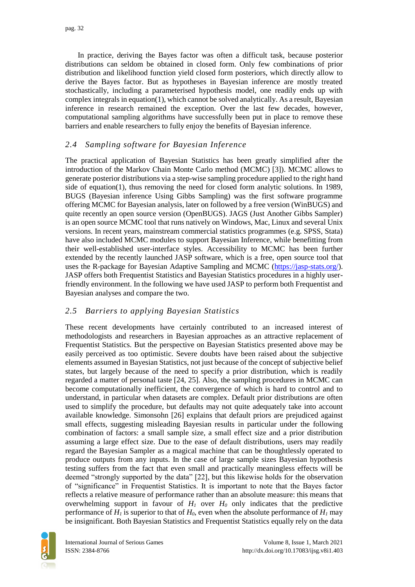In practice, deriving the Bayes factor was often a difficult task, because posterior distributions can seldom be obtained in closed form. Only few combinations of prior distribution and likelihood function yield closed form posteriors, which directly allow to derive the Bayes factor. But as hypotheses in Bayesian inference are mostly treated stochastically, including a parameterised hypothesis model, one readily ends up with complex integrals in equation(1), which cannot be solved analytically. As a result, Bayesian inference in research remained the exception. Over the last few decades, however, computational sampling algorithms have successfully been put in place to remove these barriers and enable researchers to fully enjoy the benefits of Bayesian inference.

## *2.4 Sampling software for Bayesian Inference*

The practical application of Bayesian Statistics has been greatly simplified after the introduction of the Markov Chain Monte Carlo method (MCMC) [3]). MCMC allows to generate posterior distributions via a step-wise sampling procedure applied to the right hand side of equation(1), thus removing the need for closed form analytic solutions. In 1989, BUGS (Bayesian inference Using Gibbs Sampling) was the first software programme offering MCMC for Bayesian analysis, later on followed by a free version (WinBUGS) and quite recently an open source version (OpenBUGS). JAGS (Just Another Gibbs Sampler) is an open source MCMC tool that runs natively on Windows, Mac, Linux and several Unix versions. In recent years, mainstream commercial statistics programmes (e.g. SPSS, Stata) have also included MCMC modules to support Bayesian Inference, while benefitting from their well-established user-interface styles. Accessibility to MCMC has been further extended by the recently launched JASP software, which is a free, open source tool that uses the R-package for Bayesian Adaptive Sampling and MCMC [\(https://jasp-stats.org/\)](https://jasp-stats.org/). JASP offers both Frequentist Statistics and Bayesian Statistics procedures in a highly userfriendly environment. In the following we have used JASP to perform both Frequentist and Bayesian analyses and compare the two.

## *2.5 Barriers to applying Bayesian Statistics*

These recent developments have certainly contributed to an increased interest of methodologists and researchers in Bayesian approaches as an attractive replacement of Frequentist Statistics. But the perspective on Bayesian Statistics presented above may be easily perceived as too optimistic. Severe doubts have been raised about the subjective elements assumed in Bayesian Statistics, not just because of the concept of subjective belief states, but largely because of the need to specify a prior distribution, which is readily regarded a matter of personal taste [24, 25]. Also, the sampling procedures in MCMC can become computationally inefficient, the convergence of which is hard to control and to understand, in particular when datasets are complex. Default prior distributions are often used to simplify the procedure, but defaults may not quite adequately take into account available knowledge. Simonsohn [26] explains that default priors are prejudiced against small effects, suggesting misleading Bayesian results in particular under the following combination of factors: a small sample size, a small effect size and a prior distribution assuming a large effect size. Due to the ease of default distributions, users may readily regard the Bayesian Sampler as a magical machine that can be thoughtlessly operated to produce outputs from any inputs. In the case of large sample sizes Bayesian hypothesis testing suffers from the fact that even small and practically meaningless effects will be deemed "strongly supported by the data" [22], but this likewise holds for the observation of "significance" in Frequentist Statistics. It is important to note that the Bayes factor reflects a relative measure of performance rather than an absolute measure: this means that overwhelming support in favour of  $H_1$  over  $H_0$  only indicates that the predictive performance of  $H_l$  is superior to that of  $H_0$ , even when the absolute performance of  $H_l$  may be insignificant. Both Bayesian Statistics and Frequentist Statistics equally rely on the data

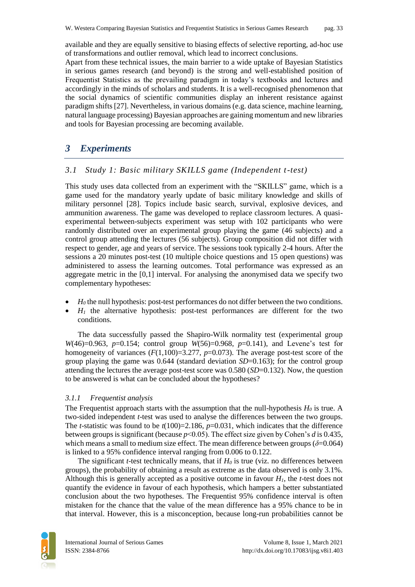available and they are equally sensitive to biasing effects of selective reporting, ad-hoc use of transformations and outlier removal, which lead to incorrect conclusions.

Apart from these technical issues, the main barrier to a wide uptake of Bayesian Statistics in serious games research (and beyond) is the strong and well-established position of Frequentist Statistics as the prevailing paradigm in today's textbooks and lectures and accordingly in the minds of scholars and students. It is a well-recognised phenomenon that the social dynamics of scientific communities display an inherent resistance against paradigm shifts [27]. Nevertheless, in various domains (e.g. data science, machine learning, natural language processing) Bayesian approaches are gaining momentum and new libraries and tools for Bayesian processing are becoming available.

# *3 Experiments*

## *3.1 Study 1: Basic military SKILLS game (Independent t-test)*

This study uses data collected from an experiment with the "SKILLS" game, which is a game used for the mandatory yearly update of basic military knowledge and skills of military personnel [28]. Topics include basic search, survival, explosive devices, and ammunition awareness. The game was developed to replace classroom lectures. A quasiexperimental between-subjects experiment was setup with 102 participants who were randomly distributed over an experimental group playing the game (46 subjects) and a control group attending the lectures (56 subjects). Group composition did not differ with respect to gender, age and years of service. The sessions took typically 2-4 hours. After the sessions a 20 minutes post-test (10 multiple choice questions and 15 open questions) was administered to assess the learning outcomes. Total performance was expressed as an aggregate metric in the [0,1] interval. For analysing the anonymised data we specify two complementary hypotheses:

- *H*<sup>0</sup> the null hypothesis: post-test performances do not differ between the two conditions.
- $H_1$  the alternative hypothesis: post-test performances are different for the two conditions.

The data successfully passed the Shapiro-Wilk normality test (experimental group *W*(46)=0.963, *p*=0.154; control group *W*(56)=0.968, *p*=0.141), and Levene's test for homogeneity of variances  $(F(1,100)=3.277, p=0.073)$ . The average post-test score of the group playing the game was 0.644 (standard deviation *SD*=0.163); for the control group attending the lectures the average post-test score was 0.580 (*SD*=0.132). Now, the question to be answered is what can be concluded about the hypotheses?

## *3.1.1 Frequentist analysis*

The Frequentist approach starts with the assumption that the null-hypothesis  $H_0$  is true. A two-sided independent *t*-test was used to analyse the differences between the two groups. The *t*-statistic was found to be  $t(100)=2.186$ ,  $p=0.031$ , which indicates that the difference between groups is significant (because *p*<0.05). The effect size given by Cohen's *d* is 0.435, which means a small to medium size effect. The mean difference between groups  $(\delta=0.064)$ is linked to a 95% confidence interval ranging from 0.006 to 0.122.

The significant *t*-test technically means, that if *H<sup>0</sup>* is true (viz. no differences between groups), the probability of obtaining a result as extreme as the data observed is only 3.1%. Although this is generally accepted as a positive outcome in favour *H1*, the *t*-test does not quantify the evidence in favour of each hypothesis, which hampers a better substantiated conclusion about the two hypotheses. The Frequentist 95% confidence interval is often mistaken for the chance that the value of the mean difference has a 95% chance to be in that interval. However, this is a misconception, because long-run probabilities cannot be

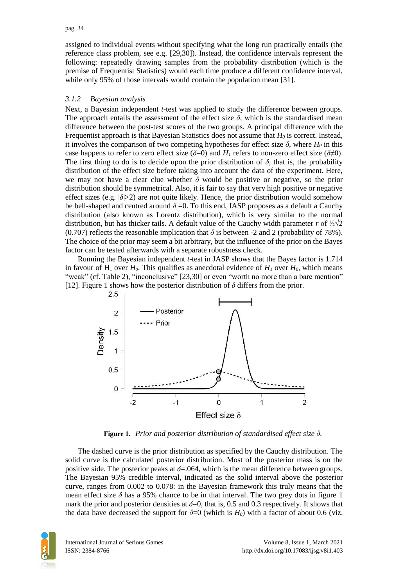assigned to individual events without specifying what the long run practically entails (the reference class problem, see e.g. [29,30]). Instead, the confidence intervals represent the following: repeatedly drawing samples from the probability distribution (which is the premise of Frequentist Statistics) would each time produce a different confidence interval, while only 95% of those intervals would contain the population mean [31].

### *3.1.2 Bayesian analysis*

Next, a Bayesian independent *t*-test was applied to study the difference between groups. The approach entails the assessment of the effect size  $\delta$ , which is the standardised mean difference between the post-test scores of the two groups. A principal difference with the Frequentist approach is that Bayesian Statistics does not assume that *H<sup>0</sup>* is correct. Instead, it involves the comparison of two competing hypotheses for effect size  $\delta$ , where  $H_0$  in this case happens to refer to zero effect size  $(\delta=0)$  and  $H<sub>l</sub>$  refers to non-zero effect size  $(\delta \neq 0)$ . The first thing to do is to decide upon the prior distribution of  $\delta$ , that is, the probability distribution of the effect size before taking into account the data of the experiment. Here, we may not have a clear clue whether  $\delta$  would be positive or negative, so the prior distribution should be symmetrical. Also, it is fair to say that very high positive or negative effect sizes (e.g.  $|\delta| > 2$ ) are not quite likely. Hence, the prior distribution would somehow be bell-shaped and centred around  $\delta = 0$ . To this end, JASP proposes as a default a Cauchy distribution (also known as Lorentz distribution), which is very similar to the normal distribution, but has thicker tails. A default value of the Cauchy width parameter *r* of  $\frac{1}{2}\sqrt{2}$ (0.707) reflects the reasonable implication that  $\delta$  is between -2 and 2 (probability of 78%). The choice of the prior may seem a bit arbitrary, but the influence of the prior on the Bayes factor can be tested afterwards with a separate robustness check.

Running the Bayesian independent *t*-test in JASP shows that the Bayes factor is 1.714 in favour of  $H_1$  over  $H_0$ . This qualifies as anecdotal evidence of  $H_1$  over  $H_0$ , which means "weak" (cf. Table 2), "inconclusive" [23,30] or even "worth no more than a bare mention" [12]. Figure 1 shows how the posterior distribution of *δ* differs from the prior.



**Figure 1.** *Prior and posterior distribution of standardised effect size δ.*

The dashed curve is the prior distribution as specified by the Cauchy distribution. The solid curve is the calculated posterior distribution. Most of the posterior mass is on the positive side. The posterior peaks at *δ*=.064, which is the mean difference between groups. The Bayesian 95% credible interval, indicated as the solid interval above the posterior curve, ranges from 0.002 to 0.078: in the Bayesian framework this truly means that the mean effect size  $\delta$  has a 95% chance to be in that interval. The two grey dots in figure 1 mark the prior and posterior densities at  $\delta=0$ , that is, 0.5 and 0.3 respectively. It shows that the data have decreased the support for  $\delta$ =0 (which is *H<sub>0</sub>*) with a factor of about 0.6 (viz.

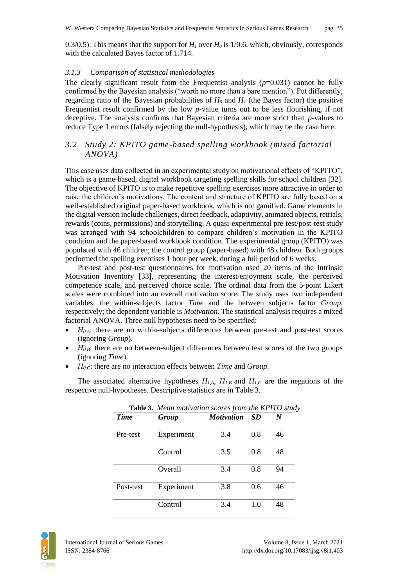0.3/0.5). This means that the support for  $H<sub>I</sub>$  over  $H<sub>0</sub>$  is 1/0.6, which, obviously, corresponds with the calculated Bayes factor of 1.714.

#### *3.1.3 Comparison of statistical methodologies*

The clearly significant result from the Frequentist analysis  $(p=0.031)$  cannot be fully confirmed by the Bayesian analysis ("worth no more than a bare mention"). Put differently, regarding ratio of the Bayesian probabilities of  $H_0$  and  $H_1$  (the Bayes factor) the positive Frequentist result confirmed by the low *p*-value turns out to be less flourishing, if not deceptive. The analysis confirms that Bayesian criteria are more strict than *p*-values to reduce Type 1 errors (falsely rejecting the null-hypothesis), which may be the case here.

## *3.2 Study 2: KPITO game-based spelling workbook (mixed factorial ANOVA)*

This case uses data collected in an experimental study on motivational effects of "KPITO", which is a game-based, digital workbook targeting spelling skills for school children [32]. The objective of KPITO is to make repetitive spelling exercises more attractive in order to raise the children's motivations. The content and structure of KPITO are fully based on a well-established original paper-based workbook, which is not gamified. Game elements in the digital version include challenges, direct feedback, adaptivity, animated objects, retrials, rewards (coins, permissions) and storytelling. A quasi-experimental pre-test/post-test study was arranged with 94 schoolchildren to compare children's motivation in the KPITO condition and the paper-based workbook condition. The experimental group (KPITO) was populated with 46 children; the control group (paper-based) with 48 children. Both groups performed the spelling exercises 1 hour per week, during a full period of 6 weeks.

Pre-test and post-test questionnaires for motivation used 20 items of the Intrinsic Motivation Inventory [33], representing the interest/enjoyment scale, the perceived competence scale, and perceived choice scale. The ordinal data from the 5-point Likert scales were combined into an overall motivation score. The study uses two independent variables: the within-subjects factor *Time* and the between subjects factor *Group*, respectively; the dependent variable is *Motivation*. The statistical analysis requires a mixed factorial ANOVA. Three null hypotheses need to be specified:

- $\bullet$   $H_{0,A}$ : there are no within-subjects differences between pre-test and post-test scores (ignoring *Group*).
- $H<sub>0,B</sub>$ : there are no between-subject differences between test scores of the two groups (ignoring *Time*).
- *H0,C*: there are no interaction effects between *Time* and *Group*.

The associated alternative hypotheses  $H_{I,A}$ ,  $H_{I,B}$  and  $H_{I,C}$  are the negations of the respective null-hypotheses. Descriptive statistics are in Table 3.

| Table 3. Mean motivation scores from the KPITO study |            |                   |      |    |  |  |  |
|------------------------------------------------------|------------|-------------------|------|----|--|--|--|
| <b>Time</b>                                          | Group      | <b>Motivation</b> | - SD | N  |  |  |  |
| Pre-test                                             | Experiment | 3.4               | 0.8  | 46 |  |  |  |
|                                                      | Control    | 3.5               | 0.8  | 48 |  |  |  |
|                                                      | Overall    | 3.4               | 0.8  | 94 |  |  |  |
| Post-test                                            | Experiment | 3.8               | 0.6  | 46 |  |  |  |
|                                                      | Control    | 3.4               | 1.0  | 48 |  |  |  |

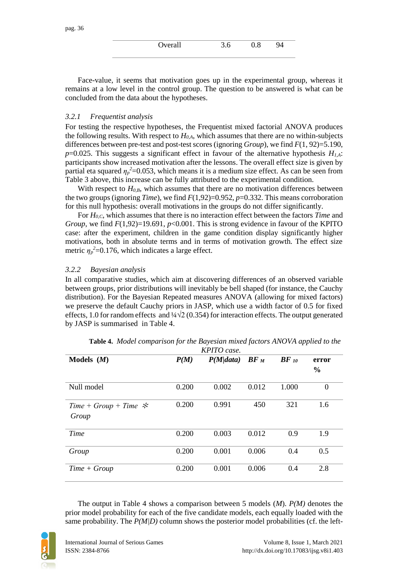| Werall<br>ran | n | 8 |  |
|---------------|---|---|--|
|               |   |   |  |

Face-value, it seems that motivation goes up in the experimental group, whereas it remains at a low level in the control group. The question to be answered is what can be concluded from the data about the hypotheses.

#### *3.2.1 Frequentist analysis*

For testing the respective hypotheses, the Frequentist mixed factorial ANOVA produces the following results. With respect to *H0,A*, which assumes that there are no within-subjects differences between pre-test and post-test scores (ignoring *Group*), we find *F*(1, 92)=5.190, *p*=0.025. This suggests a significant effect in favour of the alternative hypothesis *H1,A*: participants show increased motivation after the lessons. The overall effect size is given by partial eta squared  $\eta_p^2$ =0.053, which means it is a medium size effect. As can be seen from Table 3 above, this increase can be fully attributed to the experimental condition.

With respect to  $H_{0,B}$ , which assumes that there are no motivation differences between the two groups (ignoring *Time*), we find *F*(1,92)=0.952, *p*=0.332. This means corroboration for this null hypothesis: overall motivations in the groups do not differ significantly.

For *H0,C*, which assumes that there is no interaction effect between the factors *Time* and *Group*, we find *F*(1,92)=19.691, *p*<0.001. This is strong evidence in favour of the KPITO case: after the experiment, children in the game condition display significantly higher motivations, both in absolute terms and in terms of motivation growth. The effect size metric  $\eta_p^2$ =0.176, which indicates a large effect.

#### *3.2.2 Bayesian analysis*

In all comparative studies, which aim at discovering differences of an observed variable between groups, prior distributions will inevitably be bell shaped (for instance, the Cauchy distribution). For the Bayesian Repeated measures ANOVA (allowing for mixed factors) we preserve the default Cauchy priors in JASP, which use a width factor of 0.5 for fixed effects, 1.0 for random effects and  $\frac{1}{4}\sqrt{2}$  (0.354) for interaction effects. The output generated by JASP is summarised in Table 4.

|                         | KPITO case. |                     |       |                    |       |  |  |  |  |
|-------------------------|-------------|---------------------|-------|--------------------|-------|--|--|--|--|
| Models $(M)$            | P(M)        | $P(M data)$ BF $_M$ |       | $BF$ <sub>10</sub> | error |  |  |  |  |
|                         |             |                     |       |                    | $\%$  |  |  |  |  |
| Null model              | 0.200       | 0.002               | 0.012 | 1.000              | 0     |  |  |  |  |
| Time + Group + Time $*$ | 0.200       | 0.991               | 450   | 321                | 1.6   |  |  |  |  |
| Group                   |             |                     |       |                    |       |  |  |  |  |
| Time                    | 0.200       | 0.003               | 0.012 | 0.9                | 1.9   |  |  |  |  |
| Group                   | 0.200       | 0.001               | 0.006 | 0.4                | 0.5   |  |  |  |  |
| $Time + Group$          | 0.200       | 0.001               | 0.006 | 0.4                | 2.8   |  |  |  |  |

**Table 4.** *Model comparison for the Bayesian mixed factors ANOVA applied to the* 

The output in Table 4 shows a comparison between 5 models (*M*). *P(M)* denotes the prior model probability for each of the five candidate models, each equally loaded with the same probability. The  $P(M|D)$  column shows the posterior model probabilities (cf. the left-

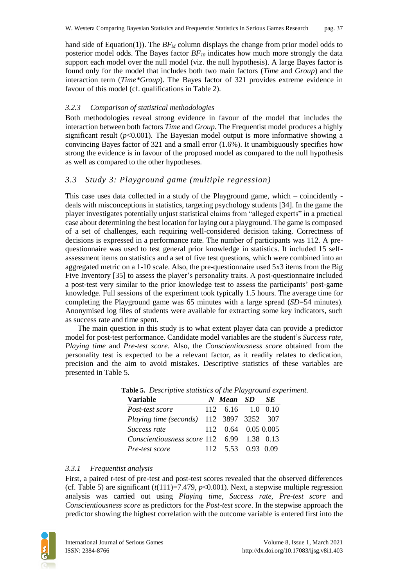hand side of Equation(1)). The  $BF_M$  column displays the change from prior model odds to posterior model odds. The Bayes factor *BF<sup>10</sup>* indicates how much more strongly the data support each model over the null model (viz. the null hypothesis). A large Bayes factor is found only for the model that includes both two main factors (*Time* and *Group*) and the interaction term (*Time\*Group*). The Bayes factor of 321 provides extreme evidence in favour of this model (cf. qualifications in Table 2).

#### *3.2.3 Comparison of statistical methodologies*

Both methodologies reveal strong evidence in favour of the model that includes the interaction between both factors *Time* and *Group*. The Frequentist model produces a highly significant result  $(p<0.001)$ . The Bayesian model output is more informative showing a convincing Bayes factor of 321 and a small error (1.6%). It unambiguously specifies how strong the evidence is in favour of the proposed model as compared to the null hypothesis as well as compared to the other hypotheses.

### *3.3 Study 3: Playground game (multiple regression)*

This case uses data collected in a study of the Playground game, which – coincidently deals with misconceptions in statistics, targeting psychology students [34]. In the game the player investigates potentially unjust statistical claims from "alleged experts" in a practical case about determining the best location for laying out a playground. The game is composed of a set of challenges, each requiring well-considered decision taking. Correctness of decisions is expressed in a performance rate. The number of participants was 112. A prequestionnaire was used to test general prior knowledge in statistics. It included 15 selfassessment items on statistics and a set of five test questions, which were combined into an aggregated metric on a 1-10 scale. Also, the pre-questionnaire used 5x3 items from the Big Five Inventory [35] to assess the player's personality traits. A post-questionnaire included a post-test very similar to the prior knowledge test to assess the participants' post-game knowledge. Full sessions of the experiment took typically 1.5 hours. The average time for completing the Playground game was 65 minutes with a large spread (*SD*=54 minutes). Anonymised log files of students were available for extracting some key indicators, such as success rate and time spent.

The main question in this study is to what extent player data can provide a predictor model for post-test performance. Candidate model variables are the student's *Success rate*, *Playing time* and *Pre-test score*. Also, the *Conscientiousness score* obtained from the personality test is expected to be a relevant factor, as it readily relates to dedication, precision and the aim to avoid mistakes. Descriptive statistics of these variables are presented in Table 5.

| <b>Variable</b>                            | N Mean SD SE        |  |
|--------------------------------------------|---------------------|--|
| Post-test score                            | 112 6.16 1.0 0.10   |  |
| Playing time (seconds) 112 3897 3252 307   |                     |  |
| Success rate                               | 112 0.64 0.05 0.005 |  |
| Conscientiousness score 112 6.99 1.38 0.13 |                     |  |
| Pre-test score                             | 112 5.53 0.93 0.09  |  |

**Table 5.** *Descriptive statistics of the Playground experiment.* 

#### *3.3.1 Frequentist analysis*

First, a paired *t*-test of pre-test and post-test scores revealed that the observed differences (cf. Table 5) are significant  $(t(111)=7.479, p<0.001)$ . Next, a stepwise multiple regression analysis was carried out using *Playing time, Success rate, Pre-test score* and *Conscientiousness score* as predictors for the *Post-test score*. In the stepwise approach the predictor showing the highest correlation with the outcome variable is entered first into the

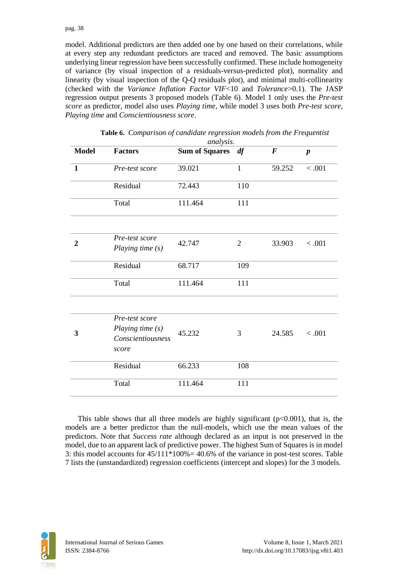#### pag. 38

model. Additional predictors are then added one by one based on their correlations, while at every step any redundant predictors are traced and removed. The basic assumptions underlying linear regression have been successfully confirmed. These include homogeneity of variance (by visual inspection of a residuals-versus-predicted plot), normality and linearity (by visual inspection of the Q-Q residuals plot), and minimal multi-collinearity (checked with the *Variance Inflation Factor VIF*<10 and *Tolerance*>0.1). The JASP regression output presents 3 proposed models (Table 6). Model 1 only uses the *Pre-test score* as predictor, model also uses *Playing time*, while model 3 uses both *Pre-test score, Playing time* and *Conscientiousness score*.

|              | analysis.                                                        |                   |                |          |                  |  |
|--------------|------------------------------------------------------------------|-------------------|----------------|----------|------------------|--|
| <b>Model</b> | <b>Factors</b>                                                   | Sum of Squares df |                | $\bm{F}$ | $\boldsymbol{p}$ |  |
| $\mathbf{1}$ | Pre-test score                                                   | 39.021            | $\mathbf{1}$   | 59.252   | < .001           |  |
|              | Residual                                                         | 72.443            | 110            |          |                  |  |
|              | Total                                                            | 111.464           | 111            |          |                  |  |
|              |                                                                  |                   |                |          |                  |  |
| $\mathbf{2}$ | Pre-test score<br>Playing time (s)                               | 42.747            | $\overline{2}$ | 33.903   | < .001           |  |
|              | Residual                                                         | 68.717            | 109            |          |                  |  |
|              | Total                                                            | 111.464           | 111            |          |                  |  |
|              |                                                                  |                   |                |          |                  |  |
| 3            | Pre-test score<br>Playing time (s)<br>Conscientiousness<br>score | 45.232            | 3              | 24.585   | < .001           |  |
|              | Residual                                                         | 66.233            | 108            |          |                  |  |
|              | Total                                                            | 111.464           | 111            |          |                  |  |

|  |  | Table 6. Comparison of candidate regression models from the Frequentist |
|--|--|-------------------------------------------------------------------------|
|  |  |                                                                         |

This table shows that all three models are highly significant ( $p<0.001$ ), that is, the models are a better predictor than the null-models, which use the mean values of the predictors. Note that *Success rate* although declared as an input is not preserved in the model, due to an apparent lack of predictive power. The highest Sum of Squares is in model 3: this model accounts for  $45/111*100\% = 40.6\%$  of the variance in post-test scores. Table 7 lists the (unstandardized) regression coefficients (intercept and slopes) for the 3 models.

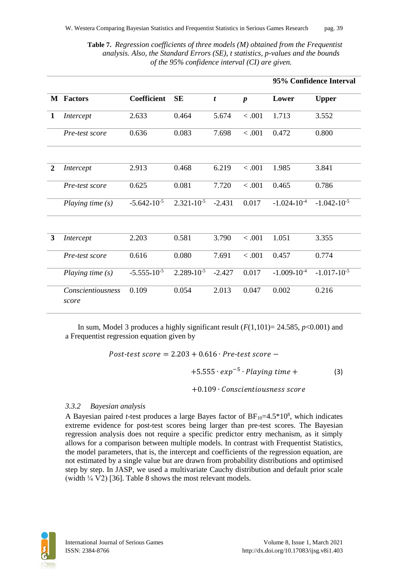**Table 7.** *Regression coefficients of three models (M) obtained from the Frequentist analysis. Also, the Standard Errors (SE), t statistics, p-values and the bounds of the 95% confidence interval (CI) are given.*

|                |                                   |                    |                 |                  |                  |                  | 95% Confidence Interval |
|----------------|-----------------------------------|--------------------|-----------------|------------------|------------------|------------------|-------------------------|
|                | <b>M</b> Factors                  | <b>Coefficient</b> | <b>SE</b>       | $\boldsymbol{t}$ | $\boldsymbol{p}$ | Lower            | <b>Upper</b>            |
| 1              | Intercept                         | 2.633              | 0.464           | 5.674            | < .001           | 1.713            | 3.552                   |
|                | Pre-test score                    | 0.636              | 0.083           | 7.698            | < .001           | 0.472            | 0.800                   |
|                |                                   |                    |                 |                  |                  |                  |                         |
| $\overline{2}$ | Intercept                         | 2.913              | 0.468           | 6.219            | < .001           | 1.985            | 3.841                   |
|                | Pre-test score                    | 0.625              | 0.081           | 7.720            | < .001           | 0.465            | 0.786                   |
|                | Playing time $(s)$                | $-5.642*10^{-5}$   | $2.321*10^{-5}$ | $-2.431$         | 0.017            | $-1.024*10^{-4}$ | $-1.042*10^{-5}$        |
|                |                                   |                    |                 |                  |                  |                  |                         |
| $\mathbf{3}$   | Intercept                         | 2.203              | 0.581           | 3.790            | < .001           | 1.051            | 3.355                   |
|                | Pre-test score                    | 0.616              | 0.080           | 7.691            | < .001           | 0.457            | 0.774                   |
|                | Playing time (s)                  | $-5.555*10^{-5}$   | $2.289*10^{-5}$ | $-2.427$         | 0.017            | $-1.009*10^{-4}$ | $-1.017*10^{-5}$        |
|                | <b>Conscientiousness</b><br>score | 0.109              | 0.054           | 2.013            | 0.047            | 0.002            | 0.216                   |

In sum, Model 3 produces a highly significant result  $(F(1,101)= 24.585, p<0.001)$  and a Frequentist regression equation given by

$$
Post-test score = 2.203 + 0.616 \cdot Pre-test score -
$$
  
+5.555  $\cdot exp^{-5} \cdot Playing time +$   
+0.109  $\cdot Conscientiousness score$  (3)

#### *3.3.2 Bayesian analysis*

A Bayesian paired *t*-test produces a large Bayes factor of  $BF_{10} = 4.5*10<sup>8</sup>$ , which indicates extreme evidence for post-test scores being larger than pre-test scores. The Bayesian regression analysis does not require a specific predictor entry mechanism, as it simply allows for a comparison between multiple models. In contrast with Frequentist Statistics, the model parameters, that is, the intercept and coefficients of the regression equation, are not estimated by a single value but are drawn from probability distributions and optimised step by step. In JASP, we used a multivariate Cauchy distribution and default prior scale (width  $\frac{1}{4}$  V2) [36]. Table 8 shows the most relevant models.

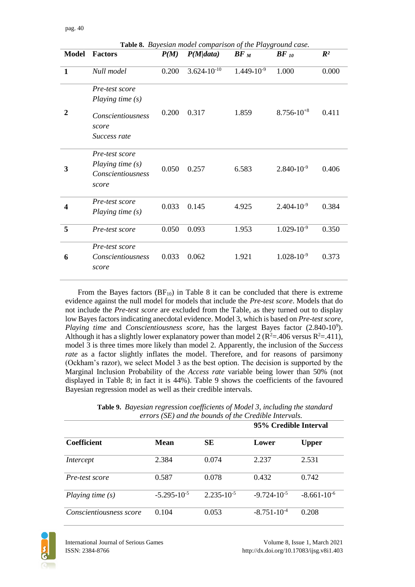|                  |                                                                                           |       | Table 8. Bayesian model comparison of the Playground case. |                 |                 |                |
|------------------|-------------------------------------------------------------------------------------------|-------|------------------------------------------------------------|-----------------|-----------------|----------------|
| <b>Model</b>     | <b>Factors</b>                                                                            | P(M)  | P(M data)                                                  | $BF_M$          | $BF$ 10         | $\mathbb{R}^2$ |
| $\mathbf{1}$     | Null model                                                                                | 0.200 | $3.624*10-10$                                              | $1.449*10^{-9}$ | 1.000           | 0.000          |
| 2                | Pre-test score<br>Playing time $(s)$<br><i>Conscientiousness</i><br>score<br>Success rate | 0.200 | 0.317                                                      | 1.859           | $8.756*10^{+8}$ | 0.411          |
| 3                | Pre-test score<br>Playing time (s)<br><i>Conscientiousness</i><br>score                   | 0.050 | 0.257                                                      | 6.583           | $2.840*10^{-9}$ | 0.406          |
| $\boldsymbol{4}$ | Pre-test score<br>Playing time (s)                                                        | 0.033 | 0.145                                                      | 4.925           | $2.404*10^{-9}$ | 0.384          |
| 5                | Pre-test score                                                                            | 0.050 | 0.093                                                      | 1.953           | $1.029*10^{-9}$ | 0.350          |
| 6                | Pre-test score<br>Conscientiousness<br>score                                              | 0.033 | 0.062                                                      | 1.921           | $1.028*10^{-9}$ | 0.373          |

From the Bayes factors  $(BF_{10})$  in Table 8 it can be concluded that there is extreme evidence against the null model for models that include the *Pre-test score*. Models that do not include the *Pre-test score* are excluded from the Table, as they turned out to display low Bayes factors indicating anecdotal evidence. Model 3, which is based on *Pre-test score,*  Playing time and *Conscientiousness score*, has the largest Bayes factor (2.840\*10°). Although it has a slightly lower explanatory power than model 2 ( $\mathbb{R}^2$ =.406 versus  $\mathbb{R}^2$ =.411), model 3 is three times more likely than model 2. Apparently, the inclusion of the *Success rate* as a factor slightly inflates the model. Therefore, and for reasons of parsimony (Ockham's razor), we select Model 3 as the best option. The decision is supported by the Marginal Inclusion Probability of the *Access rate* variable being lower than 50% (not displayed in Table 8; in fact it is 44%). Table 9 shows the coefficients of the favoured Bayesian regression model as well as their credible intervals.

| Table 9. Bayesian regression coefficients of Model 3, including the standard |
|------------------------------------------------------------------------------|
| errors (SE) and the bounds of the Credible Intervals.                        |
| 95% Credible Interval                                                        |

|                         |                  |                 | 95% Credible Interval   |                  |  |
|-------------------------|------------------|-----------------|-------------------------|------------------|--|
| <b>Coefficient</b>      | Mean             | SЕ              | Lower                   | <b>Upper</b>     |  |
| Intercept               | 2.384            | 0.074           | 2.237                   | 2.531            |  |
| Pre-test score          | 0.587            | 0.078           | 0.432                   | 0.742            |  |
| Playing time $(s)$      | $-5.295*10^{-5}$ | $2.235*10^{-5}$ | $-9.724 \times 10^{-5}$ | $-8.661*10^{-6}$ |  |
| Conscientiousness score | 0.104            | 0.053           | $-8.751*10^{-4}$        | 0.208            |  |

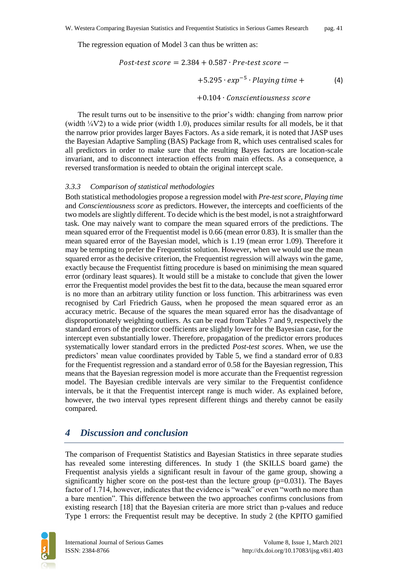The regression equation of Model 3 can thus be written as:

$$
Post-test score = 2.384 + 0.587 \cdot Pre-test score -
$$
  
+5.295  $\cdot exp^{-5}$   $\cdot$  *Playing time* +  
+0.104  $\cdot$  *Conscientiousness score*

The result turns out to be insensitive to the prior's width: changing from narrow prior (width  $\frac{1}{4}V^2$ ) to a wide prior (width 1.0), produces similar results for all models, be it that the narrow prior provides larger Bayes Factors. As a side remark, it is noted that JASP uses the Bayesian Adaptive Sampling (BAS) Package from R, which uses centralised scales for all predictors in order to make sure that the resulting Bayes factors are location-scale invariant, and to disconnect interaction effects from main effects. As a consequence, a reversed transformation is needed to obtain the original intercept scale.

#### *3.3.3 Comparison of statistical methodologies*

Both statistical methodologies propose a regression model with *Pre-test score, Playing time* and *Conscientiousness score* as predictors. However, the intercepts and coefficients of the two models are slightly different. To decide which is the best model, is not a straightforward task. One may naively want to compare the mean squared errors of the predictions. The mean squared error of the Frequentist model is 0.66 (mean error 0.83). It is smaller than the mean squared error of the Bayesian model, which is 1.19 (mean error 1.09). Therefore it may be tempting to prefer the Frequentist solution. However, when we would use the mean squared error as the decisive criterion, the Frequentist regression will always win the game, exactly because the Frequentist fitting procedure is based on minimising the mean squared error (ordinary least squares). It would still be a mistake to conclude that given the lower error the Frequentist model provides the best fit to the data, because the mean squared error is no more than an arbitrary utility function or loss function. This arbitrariness was even recognised by Carl Friedrich Gauss, when he proposed the mean squared error as an accuracy metric. Because of the squares the mean squared error has the disadvantage of disproportionately weighting outliers. As can be read from Tables 7 and 9, respectively the standard errors of the predictor coefficients are slightly lower for the Bayesian case, for the intercept even substantially lower. Therefore, propagation of the predictor errors produces systematically lower standard errors in the predicted *Post-test scores*. When, we use the predictors' mean value coordinates provided by Table 5, we find a standard error of 0.83 for the Frequentist regression and a standard error of 0.58 for the Bayesian regression, This means that the Bayesian regression model is more accurate than the Frequentist regression model. The Bayesian credible intervals are very similar to the Frequentist confidence intervals, be it that the Frequentist intercept range is much wider. As explained before, however, the two interval types represent different things and thereby cannot be easily compared.

## *4 Discussion and conclusion*

The comparison of Frequentist Statistics and Bayesian Statistics in three separate studies has revealed some interesting differences. In study 1 (the SKILLS board game) the Frequentist analysis yields a significant result in favour of the game group, showing a significantly higher score on the post-test than the lecture group  $(p=0.031)$ . The Bayes factor of 1.714, however, indicates that the evidence is "weak" or even "worth no more than a bare mention". This difference between the two approaches confirms conclusions from existing research [18] that the Bayesian criteria are more strict than p-values and reduce Type 1 errors: the Frequentist result may be deceptive. In study 2 (the KPITO gamified

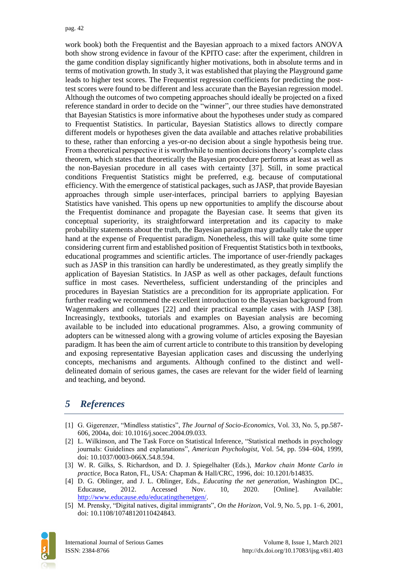work book) both the Frequentist and the Bayesian approach to a mixed factors ANOVA both show strong evidence in favour of the KPITO case: after the experiment, children in the game condition display significantly higher motivations, both in absolute terms and in terms of motivation growth. In study 3, it was established that playing the Playground game leads to higher test scores. The Frequentist regression coefficients for predicting the posttest scores were found to be different and less accurate than the Bayesian regression model. Although the outcomes of two competing approaches should ideally be projected on a fixed reference standard in order to decide on the "winner", our three studies have demonstrated that Bayesian Statistics is more informative about the hypotheses under study as compared to Frequentist Statistics. In particular, Bayesian Statistics allows to directly compare different models or hypotheses given the data available and attaches relative probabilities to these, rather than enforcing a yes-or-no decision about a single hypothesis being true. From a theoretical perspective it is worthwhile to mention decisions theory's complete class theorem, which states that theoretically the Bayesian procedure performs at least as well as the non-Bayesian procedure in all cases with certainty [37]. Still, in some practical conditions Frequentist Statistics might be preferred, e.g. because of computational efficiency. With the emergence of statistical packages, such as JASP, that provide Bayesian approaches through simple user-interfaces, principal barriers to applying Bayesian Statistics have vanished. This opens up new opportunities to amplify the discourse about the Frequentist dominance and propagate the Bayesian case. It seems that given its conceptual superiority, its straightforward interpretation and its capacity to make probability statements about the truth, the Bayesian paradigm may gradually take the upper hand at the expense of Frequentist paradigm. Nonetheless, this will take quite some time considering current firm and established position of Frequentist Statistics both in textbooks, educational programmes and scientific articles. The importance of user-friendly packages such as JASP in this transition can hardly be underestimated, as they greatly simplify the application of Bayesian Statistics. In JASP as well as other packages, default functions suffice in most cases. Nevertheless, sufficient understanding of the principles and procedures in Bayesian Statistics are a precondition for its appropriate application. For further reading we recommend the excellent introduction to the Bayesian background from Wagenmakers and colleagues [22] and their practical example cases with JASP [38]. Increasingly, textbooks, tutorials and examples on Bayesian analysis are becoming available to be included into educational programmes. Also, a growing community of adopters can be witnessed along with a growing volume of articles exposing the Bayesian paradigm. It has been the aim of current article to contribute to this transition by developing and exposing representative Bayesian application cases and discussing the underlying concepts, mechanisms and arguments. Although confined to the distinct and welldelineated domain of serious games, the cases are relevant for the wider field of learning and teaching, and beyond.

# *5 References*

- [1] G. Gigerenzer, "Mindless statistics", *The Journal of Socio-Economics*, Vol. 33, No. 5, pp.587- 606, 2004a, doi: 10.1016/j.socec.2004.09.033.
- [2] L. Wilkinson, and The Task Force on Statistical Inference, "Statistical methods in psychology journals: Guidelines and explanations", *American Psychologist*, Vol. 54, pp. 594–604, 1999, doi: 10.1037/0003-066X.54.8.594.
- [3] W. R. Gilks, S. Richardson, and D. J. Spiegelhalter (Eds.), *Markov chain Monte Carlo in practice,* Boca Raton, FL, USA: Chapman & Hall/CRC, 1996, doi: 10.1201/b14835.
- [4] D. G. Oblinger, and J. L. Oblinger, Eds., *Educating the net generation*, Washington DC., Educause, 2012. Accessed Nov. 10, 2020. [Online]. Available: [http://www.educause.edu/educatingthenetgen/.](http://www.educause.edu/educatingthenetgen/)
- [5] M. Prensky, "Digital natives, digital immigrants", *On the Horizon*, Vol. 9, No. 5, pp. 1–6, 2001, doi: 10.1108/10748120110424843.

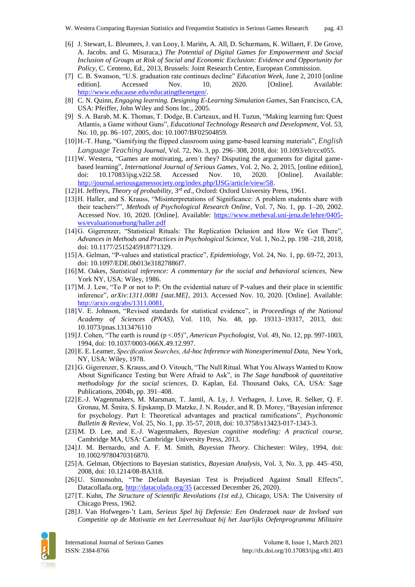- [6] J. Stewart, L. Bleumers, J. van Looy, I. Mariën, A. All, D. Schurmans, K. Willaert, F. De Grove, A. Jacobs. and G. Misuraca,) *The Potential of Digital Games for Empowerment and Social Inclusion of Groups at Risk of Social and Economic Exclusion: Evidence and Opportunity for Policy,* C. Centeno, Ed., 2013, Brussels: Joint Research Centre, European Commission.
- [7] C. B. Swanson, "U.S. graduation rate continues decline" *Education Week*, June 2, 2010 [online edition]. Accessed Nov. 10, 2020. [Online]. Available: [http://www.educause.edu/educatingthenetgen/.](http://www.educause.edu/educatingthenetgen/)
- [8] C. N. Quinn, *Engaging learning. Designing E-Learning Simulation Games*, San Francisco, CA, USA: Pfeiffer, John Wiley and Sons Inc., 2005.
- [9] S. A. Barab, M. K. Thomas, T. Dodge, B. Carteaux, and H. Tuzun, "Making learning fun: Quest Atlantis, a Game without Guns", *Educational Technology Research and Development*, Vol. 53, No. 10, pp. 86–107, 2005, doi: 10.1007/BF02504859.
- [10]H.-T. Hung, "Gamifying the flipped classroom using game-based learning materials", *English Language Teaching Journal*, Vol. 72, No. 3, pp. 296–308, 2018, doi: 10.1093/elt/ccx055.
- [11]W. Westera, "Games are motivating, aren´t they? Disputing the arguments for digital gamebased learning", *International Journal of Serious Games*, Vol. 2, No. 2, 2015, [online edition], doi: 10.17083/ijsg.v2i2.58. Accessed Nov. 10, 2020. [Online]. Available: [http://journal.seriousgamessociety.org/index.php/IJSG/article/view/58.](http://journal.seriousgamessociety.org/index.php/IJSG/article/view/58)
- [12] H. Jeffreys, *Theory of probability*, <sup>3rd</sup> ed., Oxford: Oxford University Press, 1961.
- [13]H. Haller, and S. Krauss, "Misinterpretations of Significance: A problem students share with their teachers?", *Methods of Psychological Research Online*, Vol. 7, No. 1, pp. 1–20, 2002. Accessed Nov. 10, 2020. [Online]. Available: [https://www.metheval.uni-jena.de/lehre/0405](https://www.metheval.uni-jena.de/lehre/0405-ws/evaluationuebung/haller.pdf) [ws/evaluationuebung/haller.pdf](https://www.metheval.uni-jena.de/lehre/0405-ws/evaluationuebung/haller.pdf)
- [14]G. Gigerenzer, "Statistical Rituals: The Replication Delusion and How We Got There", *Advances in Methods and Practices in Psychological Science*, Vol. 1, No.2, pp. 198 –218, 2018, doi: 10.1177/2515245918771329.
- [15]A. Gelman, "P-values and statistical practice", *Epidemiology*, Vol. 24, No. 1, pp. 69-72, 2013, doi: 10.1097/EDE.0b013e31827886f7.
- [16]M. Oakes, *Statistical inference: A commentary for the social and behavioral sciences,* New York NY, USA: Wiley, 1986.
- [17]M. J. Lew, "To P or not to P: On the evidential nature of P-values and their place in scientific inference", *arXiv:1311.0081 [stat.ME],* 2013. Accessed Nov. 10, 2020. [Online]. Available: [http://arxiv.org/abs/1311.0081.](http://arxiv.org/abs/1311.0081)
- [18]V. E. Johnson, "Revised standards for statistical evidence", in *Proceedings of the National Academy of Sciences (PNAS)*, Vol. 110, No. 48, pp. 19313–19317, 2013, doi: 10.1073/pnas.1313476110
- [19]J. Cohen, "The earth is round (p <.05)", *American Psychologist*, Vol. 49, No. 12, pp. 997-1003, 1994, doi: 10.1037/0003-066X.49.12.997.
- [20]E. E. Leamer, *Specification Searches, Ad-hoc Inference with Nonexperimental Data,* New York, NY, USA: Wiley, 1978.
- [21]G. Gigerenzer, S. Krauss, and O. Vitouch, "The Null Ritual. What You Always Wanted to Know About Significance Testing but Were Afraid to Ask", in *The Sage handbook of quantitative methodology for the social sciences*, D. Kaplan, Ed. Thousand Oaks, CA, USA: Sage Publications, 2004b, pp. 391–408.
- [22]E.-J. Wagenmakers, M. Marsman, T. Jamil, A. Ly, J. Verhagen, J. Love, R. Selker, Q. F. Gronau, M. Šmíra, S. Epskamp, D. Matzke, J. N. Rouder, and R. D. Morey, "Bayesian inference for psychology. Part I: Theoretical advantages and practical ramifications", *Psychonomic Bulletin & Review*, Vol. 25, No. 1, pp. 35-57, 2018, doi: 10.3758/s13423-017-1343-3.
- [23]M. D. Lee, and E.-J. Wagenmakers, *Bayesian cognitive modeling: A practical course,* Cambridge MA, USA: Cambridge University Press, 2013.
- [24]J. M. Bernardo, and A. F. M. Smith, *Bayesian Theory*. Chichester: Wiley, 1994, doi: 10.1002/9780470316870.
- [25]A. Gelman, Objections to Bayesian statistics, *Bayesian Analysis*, Vol. 3, No. 3, pp. 445–450, 2008, doi: 10.1214/08-BA318.
- [26]U. Simonsohn, "The Default Bayesian Test is Prejudiced Against Small Effects", Datacollada.org,<http://datacolada.org/35> (accessed December 26, 2020).
- [27]T. Kuhn, *The Structure of Scientific Revolutions (1st ed.)*, Chicago, USA: The University of Chicago Press, 1962.
- [28]J. Van Hofwegen-'t Lam, *Serieus Spel bij Defensie: Een Onderzoek naar de Invloed van Competitie op de Motivatie en het Leerresultaat bij het Jaarlijks Oefenprogramma Militaire*